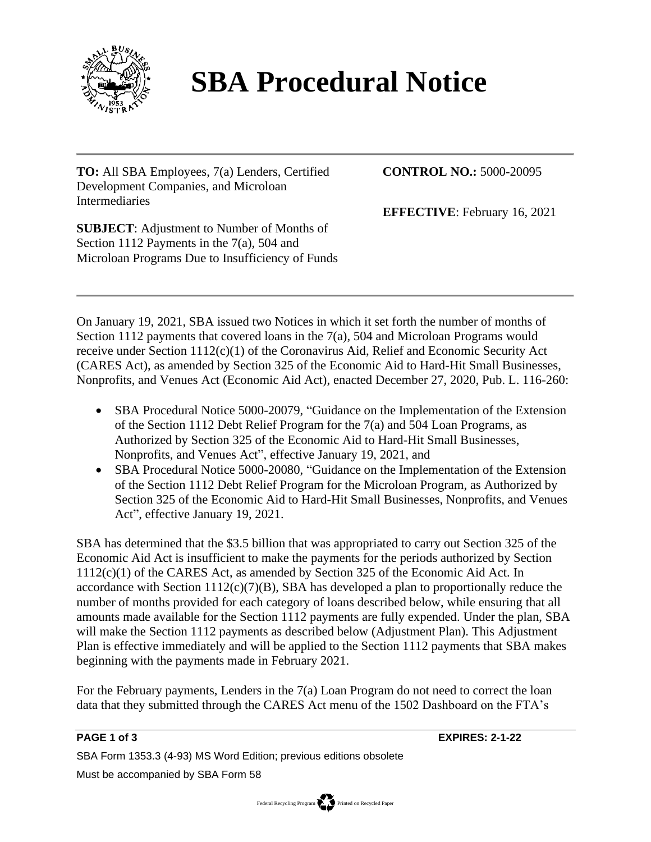

## **SBA Procedural Notice**

**TO:** All SBA Employees, 7(a) Lenders, Certified Development Companies, and Microloan Intermediaries

**CONTROL NO.:** 5000-20095

**EFFECTIVE**: February 16, 2021

**SUBJECT**: Adjustment to Number of Months of Section 1112 Payments in the 7(a), 504 and Microloan Programs Due to Insufficiency of Funds

On January 19, 2021, SBA issued two Notices in which it set forth the number of months of Section 1112 payments that covered loans in the 7(a), 504 and Microloan Programs would receive under Section 1112(c)(1) of the Coronavirus Aid, Relief and Economic Security Act (CARES Act), as amended by Section 325 of the Economic Aid to Hard-Hit Small Businesses, Nonprofits, and Venues Act (Economic Aid Act), enacted December 27, 2020, Pub. L. 116-260:

- SBA Procedural Notice 5000-20079, "Guidance on the Implementation of the Extension of the Section 1112 Debt Relief Program for the 7(a) and 504 Loan Programs, as Authorized by Section 325 of the Economic Aid to Hard-Hit Small Businesses, Nonprofits, and Venues Act", effective January 19, 2021, and
- SBA Procedural Notice 5000-20080, "Guidance on the Implementation of the Extension of the Section 1112 Debt Relief Program for the Microloan Program, as Authorized by Section 325 of the Economic Aid to Hard-Hit Small Businesses, Nonprofits, and Venues Act", effective January 19, 2021.

SBA has determined that the \$3.5 billion that was appropriated to carry out Section 325 of the Economic Aid Act is insufficient to make the payments for the periods authorized by Section 1112(c)(1) of the CARES Act, as amended by Section 325 of the Economic Aid Act. In accordance with Section  $1112(c)(7)(B)$ , SBA has developed a plan to proportionally reduce the number of months provided for each category of loans described below, while ensuring that all amounts made available for the Section 1112 payments are fully expended. Under the plan, SBA will make the Section 1112 payments as described below (Adjustment Plan). This Adjustment Plan is effective immediately and will be applied to the Section 1112 payments that SBA makes beginning with the payments made in February 2021.

For the February payments, Lenders in the 7(a) Loan Program do not need to correct the loan data that they submitted through the CARES Act menu of the 1502 Dashboard on the FTA's

**PAGE 1 of 3 EXPIRES: 2-1-22**

SBA Form 1353.3 (4-93) MS Word Edition; previous editions obsolete

Must be accompanied by SBA Form 58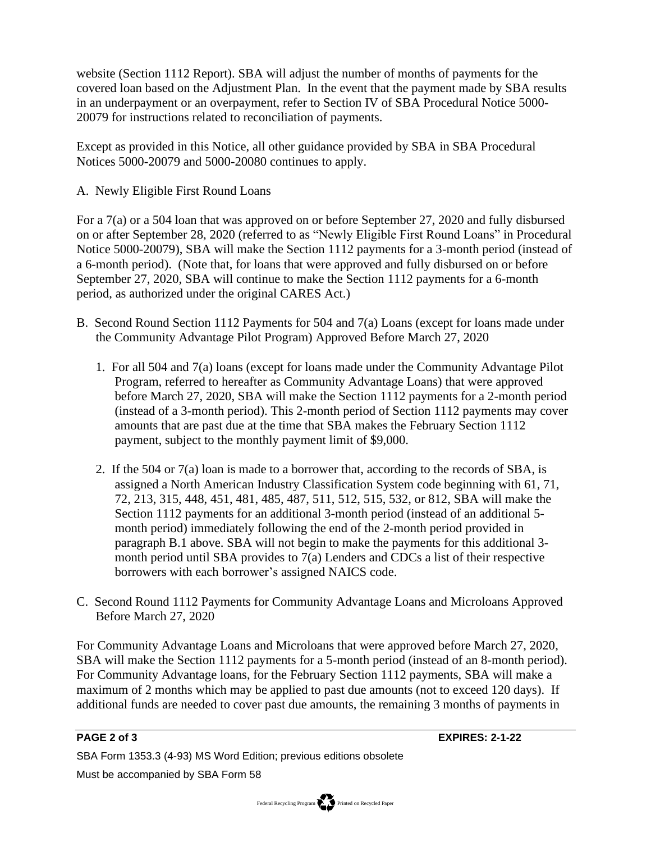website (Section 1112 Report). SBA will adjust the number of months of payments for the covered loan based on the Adjustment Plan. In the event that the payment made by SBA results in an underpayment or an overpayment, refer to Section IV of SBA Procedural Notice 5000- 20079 for instructions related to reconciliation of payments.

Except as provided in this Notice, all other guidance provided by SBA in SBA Procedural Notices 5000-20079 and 5000-20080 continues to apply.

A. Newly Eligible First Round Loans

For a 7(a) or a 504 loan that was approved on or before September 27, 2020 and fully disbursed on or after September 28, 2020 (referred to as "Newly Eligible First Round Loans" in Procedural Notice 5000-20079), SBA will make the Section 1112 payments for a 3-month period (instead of a 6-month period). (Note that, for loans that were approved and fully disbursed on or before September 27, 2020, SBA will continue to make the Section 1112 payments for a 6-month period, as authorized under the original CARES Act.)

- B. Second Round Section 1112 Payments for 504 and 7(a) Loans (except for loans made under the Community Advantage Pilot Program) Approved Before March 27, 2020
	- 1. For all 504 and 7(a) loans (except for loans made under the Community Advantage Pilot Program, referred to hereafter as Community Advantage Loans) that were approved before March 27, 2020, SBA will make the Section 1112 payments for a 2-month period (instead of a 3-month period). This 2-month period of Section 1112 payments may cover amounts that are past due at the time that SBA makes the February Section 1112 payment, subject to the monthly payment limit of \$9,000.
	- 2. If the 504 or 7(a) loan is made to a borrower that, according to the records of SBA, is assigned a North American Industry Classification System code beginning with 61, 71, 72, 213, 315, 448, 451, 481, 485, 487, 511, 512, 515, 532, or 812, SBA will make the Section 1112 payments for an additional 3-month period (instead of an additional 5 month period) immediately following the end of the 2-month period provided in paragraph B.1 above. SBA will not begin to make the payments for this additional 3 month period until SBA provides to 7(a) Lenders and CDCs a list of their respective borrowers with each borrower's assigned NAICS code.
- C. Second Round 1112 Payments for Community Advantage Loans and Microloans Approved Before March 27, 2020

For Community Advantage Loans and Microloans that were approved before March 27, 2020, SBA will make the Section 1112 payments for a 5-month period (instead of an 8-month period). For Community Advantage loans, for the February Section 1112 payments, SBA will make a maximum of 2 months which may be applied to past due amounts (not to exceed 120 days). If additional funds are needed to cover past due amounts, the remaining 3 months of payments in

**PAGE 2 of 3 EXPIRES: 2-1-22**

SBA Form 1353.3 (4-93) MS Word Edition; previous editions obsolete

Must be accompanied by SBA Form 58